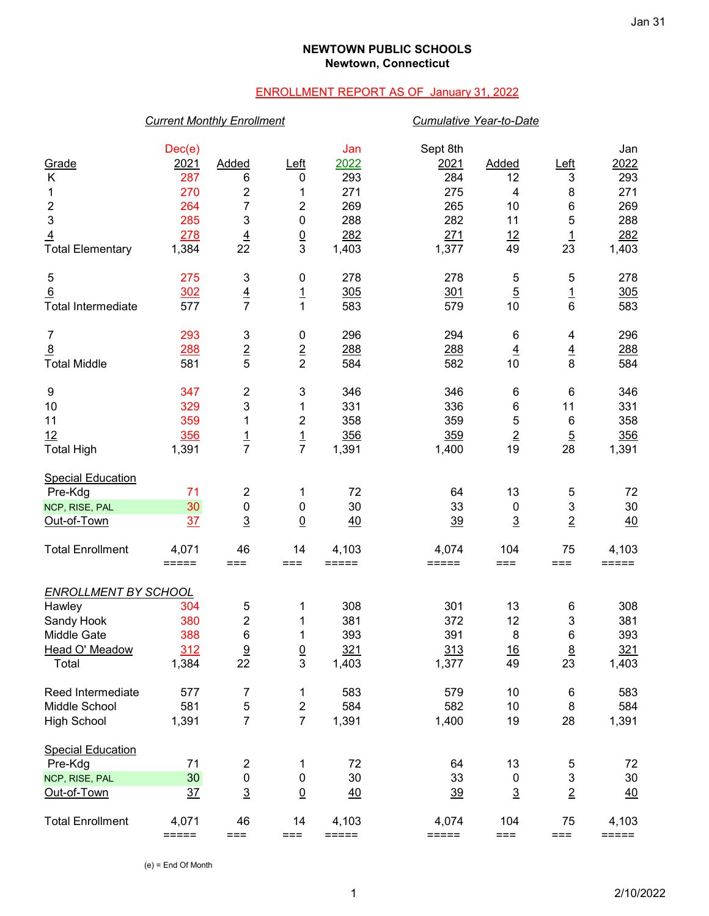## **NEWTOWN PUBLIC SCHOOLS Newtown, Connecticut**

# ENROLLMENT REPORT AS OF January 31, 2022

### *Current Monthly Enrollment Cumulative Year-to-Date*

|                             | Dec(e)         |                         |                         | Jan                 | Sept 8th            |                  |                 | Jan         |
|-----------------------------|----------------|-------------------------|-------------------------|---------------------|---------------------|------------------|-----------------|-------------|
| Grade                       | 2021           | Added                   | Left                    | 2022                | 2021                | <b>Added</b>     | <u>Left</u>     | 2022        |
| K                           | 287            | 6                       | 0                       | 293                 | 284                 | 12               | 3               | 293         |
| 1                           | 270            | 2                       | 1                       | 271                 | 275                 | 4                | 8               | 271         |
| $\overline{c}$              | 264            | 7                       | 2                       | 269                 | 265                 | 10               | $\,6$           | 269         |
| $\mathbf{3}$                | 285            | 3                       | 0                       | 288                 | 282                 | 11               | 5               | 288         |
| $\overline{4}$              | 278            | $\overline{4}$          | $\frac{0}{3}$           | 282                 | 271                 | 12               | $\overline{1}$  | 282         |
| <b>Total Elementary</b>     | 1,384          | 22                      |                         | 1,403               | 1,377               | 49               | 23              | 1,403       |
| 5                           | 275            | 3                       | $\pmb{0}$               | 278                 | 278                 | 5                | 5               | 278         |
| 6                           | 302            | $\frac{4}{7}$           | $\overline{1}$          | 305                 | 301                 | $\overline{5}$   | $\overline{1}$  | 305         |
| <b>Total Intermediate</b>   | 577            |                         | $\mathbf{1}$            | 583                 | 579                 | 10               | $6\phantom{1}$  | 583         |
| $\overline{7}$              | 293            | 3                       | $\pmb{0}$               | 296                 | 294                 | 6                | 4               | 296         |
| $\overline{8}$              | 288            | $\frac{2}{5}$           | $\frac{2}{2}$           | 288                 | 288                 | $\overline{4}$   | $\overline{4}$  | <u> 288</u> |
| <b>Total Middle</b>         | 581            |                         |                         | 584                 | 582                 | 10               | 8               | 584         |
| 9                           | 347            | 2                       | 3                       | 346                 | 346                 | 6                | $6\phantom{1}6$ | 346         |
| 10                          | 329            | 3                       | 1                       | 331                 | 336                 | 6                | 11              | 331         |
| 11                          | 359            | 1                       | 2                       | 358                 | 359                 | 5                | $6\phantom{1}6$ | 358         |
| 12                          | <u>356</u>     | $\frac{1}{7}$           | $\frac{1}{7}$           | 356                 | 359                 | $\underline{2}$  | $\overline{5}$  | 356         |
| <b>Total High</b>           | 1,391          |                         |                         | 1,391               | 1,400               | 19               | 28              | 1,391       |
| <b>Special Education</b>    |                |                         |                         |                     |                     |                  |                 |             |
| Pre-Kdg                     | 71             | 2                       | 1                       | 72                  | 64                  | 13               | 5               | 72          |
| NCP, RISE, PAL              | 30             | $\pmb{0}$               | $\pmb{0}$               | 30                  | 33                  | $\boldsymbol{0}$ | 3               | 30          |
| Out-of-Town                 | 37             | $\overline{3}$          | $\overline{0}$          | 40                  | 39                  | $\overline{3}$   | $\overline{2}$  | 40          |
| <b>Total Enrollment</b>     | 4,071          | 46                      | 14                      | 4,103               | 4,074               | 104              | 75              | 4,103       |
|                             | $=====$        | $==$                    | $==$                    | $=$ $=$ $=$ $=$ $=$ | $=$ $=$ $=$ $=$ $=$ | $==$             | ===             | $=====$     |
| <b>ENROLLMENT BY SCHOOL</b> |                |                         |                         |                     |                     |                  |                 |             |
| Hawley                      | 304            | 5                       | 1                       | 308                 | 301                 | 13               | 6               | 308         |
| Sandy Hook                  | 380            | $\overline{c}$          | 1                       | 381                 | 372                 | 12               | 3               | 381         |
| <b>Middle Gate</b>          | 388            | 6                       | 1                       | 393                 | 391                 | 8                | $\,6$           | 393         |
| Head O' Meadow              | 312            | <u>9</u>                | $\overline{0}$          | 321                 | 313                 | 16               | 8               | 321         |
| Total                       | 1,384          | 22                      | 3                       | 1,403               | 1,377               | 49               | 23              | 1,403       |
| Reed Intermediate           | 577            | 7                       | 1                       | 583                 | 579                 | 10               | $\,6$           | 583         |
| Middle School               | 581            | 5                       | $\overline{\mathbf{c}}$ | 584                 | 582                 | 10               | 8               | 584         |
| <b>High School</b>          | 1,391          | $\overline{7}$          | $\overline{7}$          | 1,391               | 1,400               | 19               | 28              | 1,391       |
| <b>Special Education</b>    |                |                         |                         |                     |                     |                  |                 |             |
| Pre-Kdg                     | 71             | $\overline{\mathbf{c}}$ | 1                       | 72                  | 64                  | 13               | 5               | 72          |
| NCP, RISE, PAL              | 30             | 0                       | $\pmb{0}$               | 30                  | 33                  | 0                | 3               | 30          |
| Out-of-Town                 | $\frac{37}{2}$ | $\overline{3}$          | $\underline{0}$         | 40                  | $\frac{39}{2}$      | $\overline{3}$   | $\overline{2}$  | 40          |
| <b>Total Enrollment</b>     | 4,071          | 46                      | 14                      | 4,103               | 4,074               | 104              | 75              | 4,103       |
|                             | =====          | ===                     | $==$                    | $=====$             | $=====$             | $==$             | $==$            | $=====$     |

(e) = End Of Month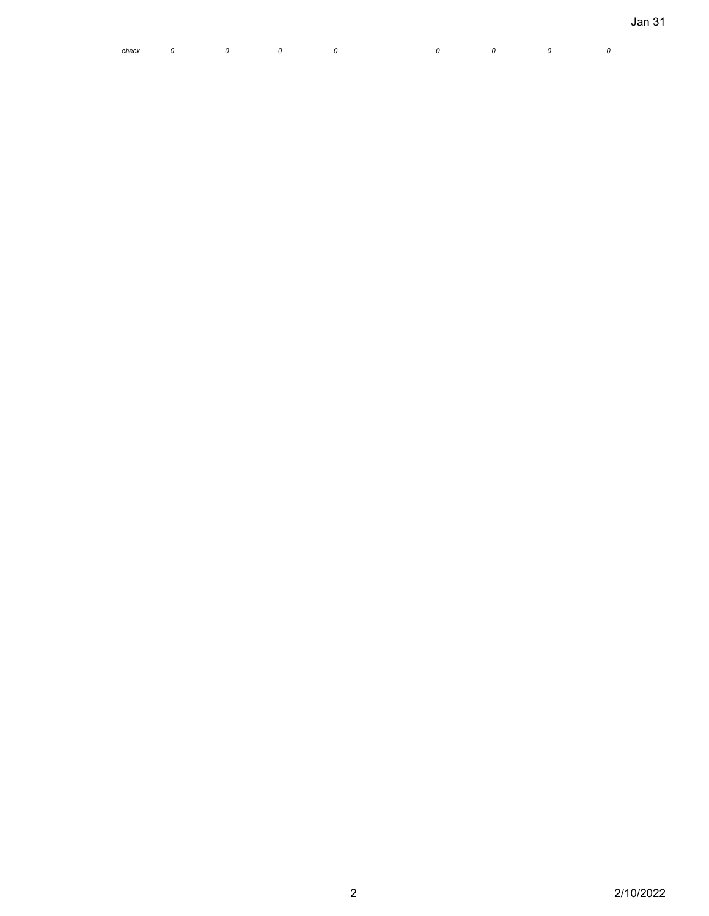|  |  | check 0 0 0 0 0 0 0 0 0 0 0 |  |  |
|--|--|-----------------------------|--|--|
|  |  |                             |  |  |